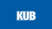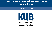# **Purchased Power Adjustment (PPA) Amendment**

**October 22, 2020**



**Resolution 1423 Second Reading**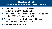#### **Resolution 1423 Amends PPA for Pandemic Relief Credits**

- $\blacksquare$  TVA to provide  $\sim$  \$7.3 million in standard service Pandemic Relief Credits to KUB
- Credits provided on wholesale power invoice from October 2020 to September 2021
- Standard service credits to be used to help customers with past due utility bills
- Requires PPA amendment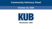## **Community Advisory Panel**

#### **October 22, 2020**



#### **Resolution 1425**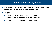# **Community Advisory Panel**

◼ Resolution 1420 directed the President and CEO to establish a Community Advisory Panel

#### Purpose

- Gather customer input in variety of areas
- Address issues of concern to the community
- Build stronger community relationships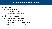## **Panel Selection Process**

#### Received input from

- **Elected officials**
- KUB Commissioners
- **Community Stakeholders**
- Diverse representation
	- Low-income communities
	- Environmental advocates
	- Residential and business customers
	- City of Knoxville representatives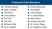# **Proposed Panel Members**

- Christina Bouler
- Mark Campen
- **Tiki Dixon**
- Coral Getino
- Erin Gill
- Tim Hill
	- **Barbara Kelly** 
		- **Terry Ledford**
- Gwen McKenzie
- Amy Midis
- Kent Minault
- K. David Myers
- Mike Odom
- Haseeb Qureshi
- Dr. Vivian Shipe
- Dr. Stephen Smith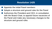## **Resolution 1425**

■ Appoints the initial Panel members

- Adopts a structure and ground rules for the Panel
- Authorizes the President and CEO, in consultation with the Board Chair, to appoint future vacancies of the Panel and make any necessary changes to the structure and ground rules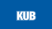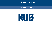### **Winter Update**

#### **October 22, 2020**

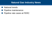## **Natural Gas Industry News**

- National trends
- Pipeline maintenance
- Pipeline rate cases at FERC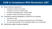# **KUB In Compliance With Resolution 1387**

#### Board authority required for

- Contracts in excess of six years
- Contracts in excess of volume limits
- Purchase and transportation: 160,000 dth/d
- Storage: 5 million dth maximum inventory
- Purchasing authority delegated to CEO/CFO for contracts
	- Two years or less
	- Two to six years for purchase and transport up to 15,000 dth/d
	- Six years [max] storage for firm withdrawal rights up to 10,000 dth/d
	- Authorizes sale of excess capacity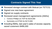# **Contracts Signed This Year**

- Renewed storage contract with Bobcat (on TETCO)
- Signed one new base agreement
- Signed six supply contracts
- Renewed asset management agreements (AMAs)
	- Conoco Phillips on TGP for \$119,000
	- Symmetry on ETNG for \$172,000
- Including AMAs, last year's sales of excess capacity saved customers \$486,000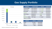# **Gas Supply Portfolio**



*Volumes estimated for November 1, 2020*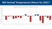## **Will Normal Temperatures Return for 2021?**

Weather Variation From Normal - Knoxville, Tennessee

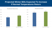#### **Projected Winter Bills Expected To Increase If Normal Temperatures Return**

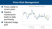# **Price Risk Management**

**Exercise Prices stable in** recent years **Pipeline** maintenance leads to daily purchasing Adjusted hedge  $\overline{goal}$   $\overline{$ 

\$1 \$2 \$3 \$4 \$5 \$6 11 12 13 14 15 16 17 18 19 20 21 Natural Gas Pricing 2011 to present Market Prices **KUB Hedge** - Market Projected - KUB Projected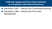#### **KUB Gas Supply and Price Risk Activities In Compliance with Board Directives**

- ◼ Resolution 1387 Natural Gas Contracting Authority
- ◼ Resolution 1388 Natural Gas Price Risk Management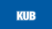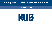### **Recognition of Environmental Initiatives**

#### **October 22, 2020**

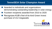# **TenneSEIA Solar Champion Award**

 $\blacksquare$  Awarded to individuals and organizations demonstrating outstanding leadership in solar energy ◼ Fourteen recipients awarded from 2010 to 2020 Recognizes KUB's first-of-its-kind Green Invest purchase of 212 megawatts

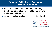#### **American Public Power Association Smart Energy Provider**

- $\blacksquare$  Evaluates commitment to energy efficiency, distributed generation, renewable energy, and environmental initiatives
	- ◼ Approximately 85 utilities recognized nationwide



**American Public Power Association**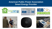#### **American Public Power Association Smart Energy Provider**